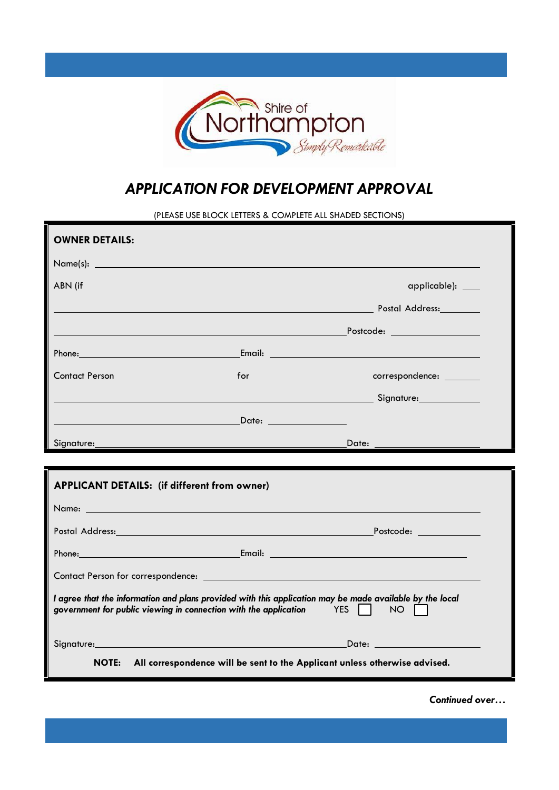

## *APPLICATION FOR DEVELOPMENT APPROVAL*

(PLEASE USE BLOCK LETTERS & COMPLETE ALL SHADED SECTIONS)

| <b>OWNER DETAILS:</b>                                                                                                                                                                           |                                                           |                         |  |  |
|-------------------------------------------------------------------------------------------------------------------------------------------------------------------------------------------------|-----------------------------------------------------------|-------------------------|--|--|
| $Name(s):$ $\qquad \qquad$                                                                                                                                                                      |                                                           |                         |  |  |
| ABN (if                                                                                                                                                                                         |                                                           | applicable): ___        |  |  |
|                                                                                                                                                                                                 | <b>Example 2018 19:20 Address:</b> Postal Address: 2018   |                         |  |  |
|                                                                                                                                                                                                 |                                                           |                         |  |  |
|                                                                                                                                                                                                 |                                                           |                         |  |  |
| <b>Contact Person</b>                                                                                                                                                                           | for                                                       | correspondence: _______ |  |  |
|                                                                                                                                                                                                 | <b>Example 2016</b> Signature: Contract of the Signature: |                         |  |  |
|                                                                                                                                                                                                 |                                                           |                         |  |  |
| Signature:                                                                                                                                                                                      |                                                           |                         |  |  |
|                                                                                                                                                                                                 |                                                           |                         |  |  |
| <b>APPLICANT DETAILS: (if different from owner)</b>                                                                                                                                             |                                                           |                         |  |  |
| Name: William State Communication of the Communication of the Communication of the Communication of the Communication                                                                           |                                                           |                         |  |  |
| م المستخدم المستخدم المستخدم المستخدم المستخدم المستخدم المستخدم المستخدم المستخدم المستخدم المستخدم المستخدم ا                                                                                 |                                                           |                         |  |  |
|                                                                                                                                                                                                 |                                                           |                         |  |  |
|                                                                                                                                                                                                 |                                                           |                         |  |  |
| I agree that the information and plans provided with this application may be made available by the local<br>government for public viewing in connection with the application TES<br>$NO$ $\Box$ |                                                           |                         |  |  |
|                                                                                                                                                                                                 |                                                           |                         |  |  |
| Signature: Date: Date: Date: Date: 2014                                                                                                                                                         |                                                           |                         |  |  |

*Continued over…*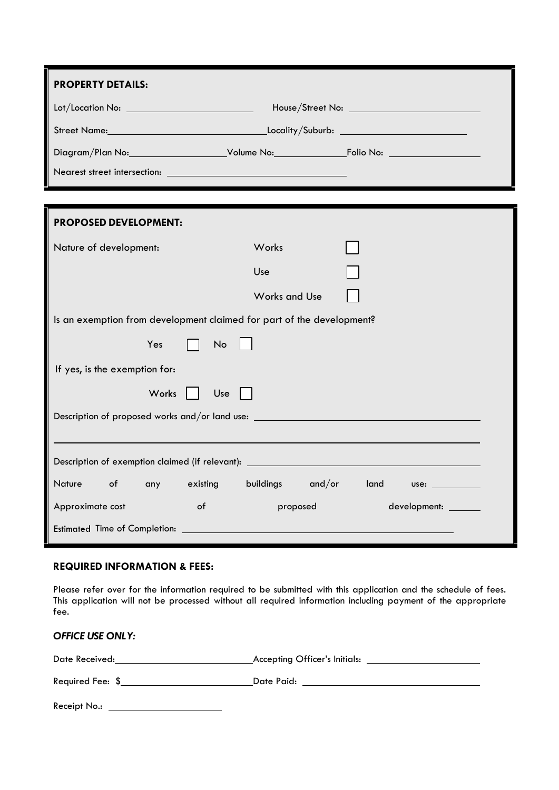| <b>PROPERTY DETAILS:</b>                                                         |                      |                            |  |  |
|----------------------------------------------------------------------------------|----------------------|----------------------------|--|--|
|                                                                                  |                      |                            |  |  |
|                                                                                  |                      |                            |  |  |
|                                                                                  |                      |                            |  |  |
|                                                                                  |                      |                            |  |  |
|                                                                                  |                      |                            |  |  |
| <b>PROPOSED DEVELOPMENT:</b>                                                     |                      |                            |  |  |
| Nature of development:                                                           | Works                |                            |  |  |
|                                                                                  | Use                  |                            |  |  |
|                                                                                  | <b>Works and Use</b> |                            |  |  |
| Is an exemption from development claimed for part of the development?            |                      |                            |  |  |
| Yes<br>No                                                                        |                      |                            |  |  |
| If yes, is the exemption for:                                                    |                      |                            |  |  |
| Works    <br>Use                                                                 |                      |                            |  |  |
| Description of proposed works and/or land use: _________________________________ |                      |                            |  |  |
|                                                                                  |                      |                            |  |  |
| <b>Nature</b><br>of<br>existing<br>any                                           |                      | buildings and/or land use: |  |  |
| $\circ$ f<br>Approximate cost                                                    | proposed             | development: _______       |  |  |
| Estimated Time of Completion:                                                    |                      |                            |  |  |

## **REQUIRED INFORMATION & FEES:**

Please refer over for the information required to be submitted with this application and the schedule of fees. This application will not be processed without all required information including payment of the appropriate fee.

| <b>OFFICE USE ONLY:</b>               |  |
|---------------------------------------|--|
|                                       |  |
| Required Fee: \$                      |  |
| Receipt No.: ________________________ |  |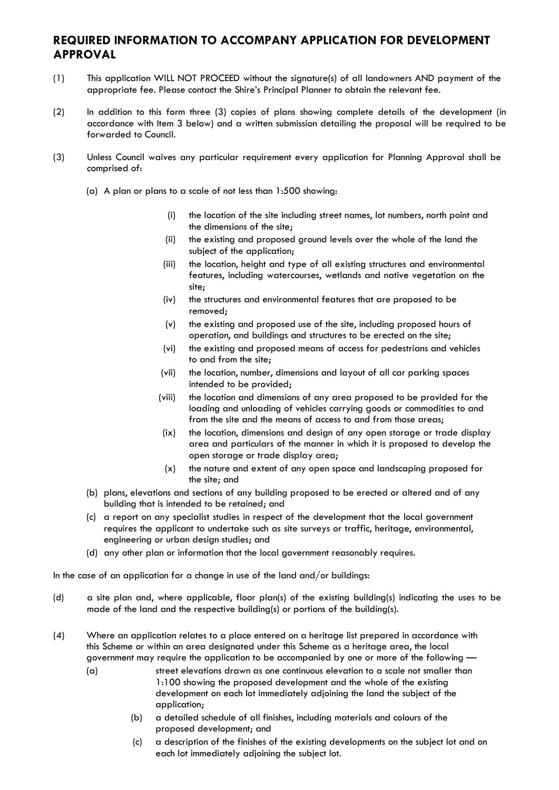## **REQUIRED INFORMATION TO ACCOMPANY APPLICATION FOR DEVELOPMENT APPROVAL**

- (1) This application WILL NOT PROCEED without the signature(s) of all landowners AND payment of the appropriate fee. Please contact the Shire's Principal Planner to obtain the relevant fee.
- (2) In addition to this form three (3) copies of plans showing complete details of the development (in accordance with Item 3 below) and a written submission detailing the proposal will be required to be forwarded to Council.
- (3) Unless Council waives any particular requirement every application for Planning Approval shall be comprised of:
	- (a) A plan or plans to a scale of not less than 1:500 showing:
		- (i) the location of the site including street names, lot numbers, north point and the dimensions of the site;
		- (ii) the existing and proposed ground levels over the whole of the land the subject of the application;
		- (iii) the location, height and type of all existing structures and environmental features, including watercourses, wetlands and native vegetation on the site;
		- (iv) the structures and environmental features that are proposed to be removed;
		- (v) the existing and proposed use of the site, including proposed hours of operation, and buildings and structures to be erected on the site;
		- (vi) the existing and proposed means of access for pedestrians and vehicles to and from the site;
		- (vii) the location, number, dimensions and layout of all car parking spaces intended to be provided;
		- (viii) the location and dimensions of any area proposed to be provided for the loading and unloading of vehicles carrying goods or commodities to and from the site and the means of access to and from those areas;
		- (ix) the location, dimensions and design of any open storage or trade display area and particulars of the manner in which it is proposed to develop the open storage or trade display area;
		- (x) the nature and extent of any open space and landscaping proposed for the site; and
	- (b) plans, elevations and sections of any building proposed to be erected or altered and of any building that is intended to be retained; and
	- (c) a report on any specialist studies in respect of the development that the local government requires the applicant to undertake such as site surveys or traffic, heritage, environmental, engineering or urban design studies; and
	- (d) any other plan or information that the local government reasonably requires.

In the case of an application for a change in use of the land and/or buildings:

- (d) a site plan and, where applicable, floor plan(s) of the existing building(s) indicating the uses to be made of the land and the respective building(s) or portions of the building(s).
- (4) Where an application relates to a place entered on a heritage list prepared in accordance with this Scheme or within an area designated under this Scheme as a heritage area, the local government may require the application to be accompanied by one or more of the following —
	- (a) street elevations drawn as one continuous elevation to a scale not smaller than 1:100 showing the proposed development and the whole of the existing development on each lot immediately adjoining the land the subject of the application;
		- (b) a detailed schedule of all finishes, including materials and colours of the proposed development; and
		- (c) a description of the finishes of the existing developments on the subject lot and on each lot immediately adjoining the subject lot.